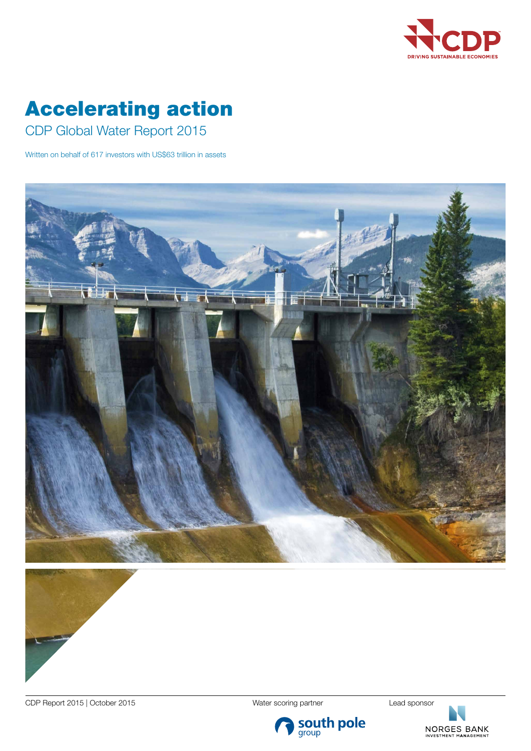

# Accelerating action

CDP Global Water Report 2015

Written on behalf of 617 investors with US\$63 trillion in assets





CDP Report 2015 | October 2015 | Network 2015 | Nater scoring partner | Lead sponsor

NORGES BANK

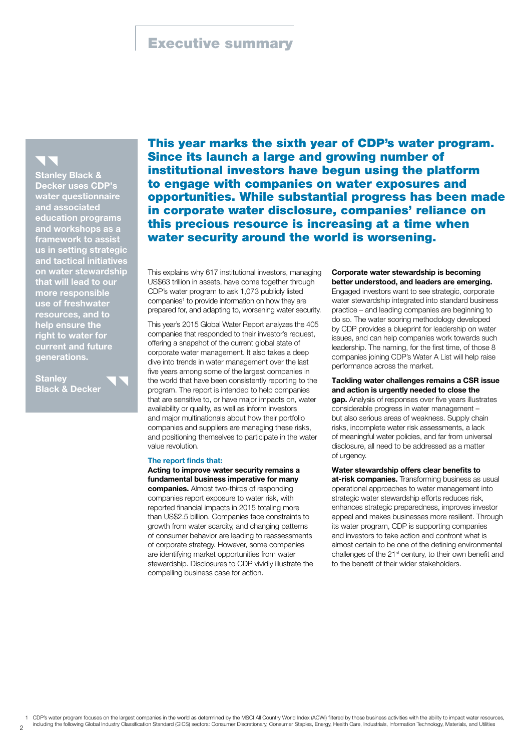# Executive summary

Stanley Black & Decker uses CDP's water questionnaire and associated education programs and workshops as a framework to assis us in setting strategic and tactical initiatives on water stewardship that will lead to our more responsible use of freshwater sources, and to help ensure the right to water for current and future generations.

**Stanley Black & Decker** 

 $\overline{2}$ 

This year marks the sixth year of CDP's water program. Since its launch a large and growing number of institutional investors have begun using the platform to engage with companies on water exposures and opportunities. While substantial progress has been made in corporate water disclosure, companies' reliance on this precious resource is increasing at a time when water security around the world is worsening.

This explains why 617 institutional investors, managing US\$63 trillion in assets, have come together through CDP's water program to ask 1,073 publicly listed companies<sup>1</sup> to provide information on how they are prepared for, and adapting to, worsening water security.

This year's 2015 Global Water Report analyzes the 405 companies that responded to their investor's request, offering a snapshot of the current global state of corporate water management. It also takes a deep dive into trends in water management over the last five years among some of the largest companies in the world that have been consistently reporting to the program. The report is intended to help companies that are sensitive to, or have major impacts on, water availability or quality, as well as inform investors and major multinationals about how their portfolio companies and suppliers are managing these risks, and positioning themselves to participate in the water value revolution.

### The report finds that:

Acting to improve water security remains a fundamental business imperative for many

companies. Almost two-thirds of responding companies report exposure to water risk, with reported financial impacts in 2015 totaling more than US\$2.5 billion. Companies face constraints to growth from water scarcity, and changing patterns of consumer behavior are leading to reassessments of corporate strategy. However, some companies are identifying market opportunities from water stewardship. Disclosures to CDP vividly illustrate the compelling business case for action.

## Corporate water stewardship is becoming better understood, and leaders are emerging.

Engaged investors want to see strategic, corporate water stewardship integrated into standard business practice – and leading companies are beginning to do so. The water scoring methodology developed by CDP provides a blueprint for leadership on water issues, and can help companies work towards such leadership. The naming, for the first time, of those 8 companies joining CDP's Water A List will help raise performance across the market.

Tackling water challenges remains a CSR issue and action is urgently needed to close the

gap. Analysis of responses over five years illustrates considerable progress in water management – but also serious areas of weakness. Supply chain risks, incomplete water risk assessments, a lack of meaningful water policies, and far from universal disclosure, all need to be addressed as a matter of urgency.

Water stewardship offers clear benefits to at-risk companies. Transforming business as usual operational approaches to water management into strategic water stewardship efforts reduces risk, enhances strategic preparedness, improves investor appeal and makes businesses more resilient. Through its water program, CDP is supporting companies and investors to take action and confront what is almost certain to be one of the defining environmental challenges of the 21st century, to their own benefit and to the benefit of their wider stakeholders.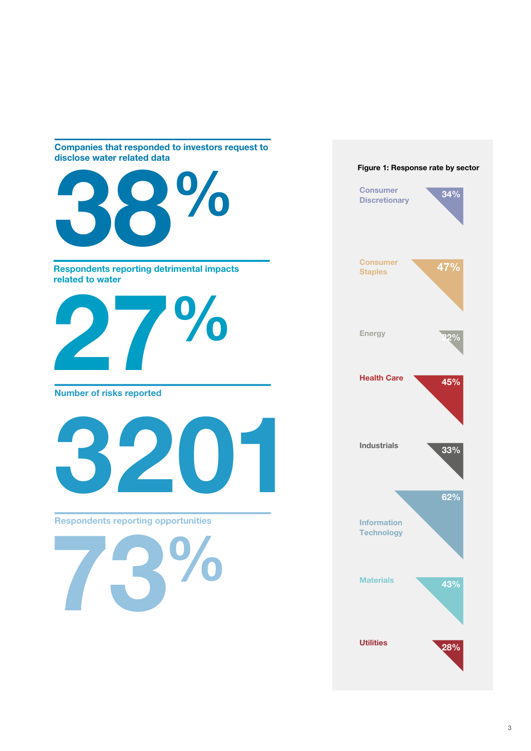# Companies that responded to investors request to disclose water related data



73%

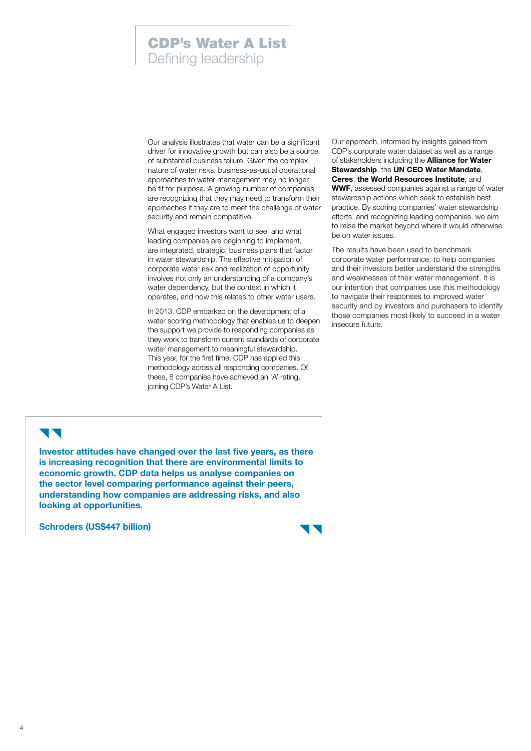# CDP's Water A List Defining leadership

Our analysis illustrates that water can be a significant driver for innovative growth but can also be a source of substantial business failure. Given the complex nature of water risks, business-as-usual operational approaches to water management may no longer be fit for purpose. A growing number of companies are recognizing that they may need to transform their approaches if they are to meet the challenge of water security and remain competitive.

What engaged investors want to see, and what leading companies are beginning to implement, are integrated, strategic, business plans that factor in water stewardship. The effective mitigation of corporate water risk and realization of opportunity involves not only an understanding of a company's water dependency, but the context in which it operates, and how this relates to other water users.

In 2013, CDP embarked on the development of a water scoring methodology that enables us to deepen the support we provide to responding companies as they work to transform current standards of corporate water management to meaningful stewardship. This year, for the first time, CDP has applied this methodology across all responding companies. Of these, 8 companies have achieved an 'A' rating, joining CDP's Water A List.

Our approach, informed by insights gained from CDP's corporate water dataset as well as a range of stakeholders including the **Alliance for Water** Stewardship, the UN CEO Water Mandate, Ceres, the World Resources Institute, and WWF, assessed companies against a range of water stewardship actions which seek to establish best practice. By scoring companies' water stewardship efforts, and recognizing leading companies, we aim to raise the market beyond where it would otherwise be on water issues.

The results have been used to benchmark corporate water performance, to help companies and their investors better understand the strengths and weaknesses of their water management. It is our intention that companies use this methodology to navigate their responses to improved water security and by investors and purchasers to identify those companies most likely to succeed in a water insecure future.

# **11**

Investor attitudes have changed over the last five years, as there is increasing recognition that there are environmental limits to economic growth. CDP data helps us analyse companies on the sector level comparing performance against their peers, understanding how companies are addressing risks, and also looking at opportunities.

Schroders (US\$447 billion)

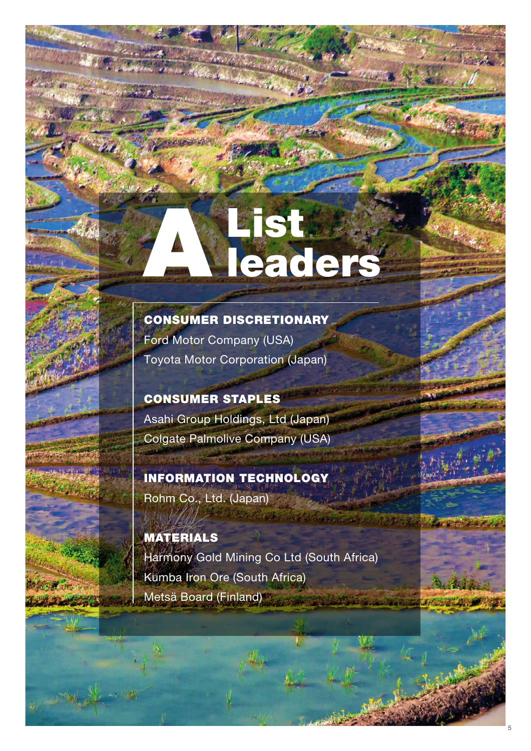# List &

CONSUMER DISCRETIONARY Ford Motor Company (USA) Toyota Motor Corporation (Japan)

CONSUMER STAPLES Asahi Group Holdings, Ltd (Japan) Colgate Palmolive Company (USA)

INFORMATION TECHNOLOGY Rohm Co., Ltd. (Japan)

MATERIALS Harmony Gold Mining Co Ltd (South Africa) Kumba Iron Ore (South Africa) Metsä Board (Finland)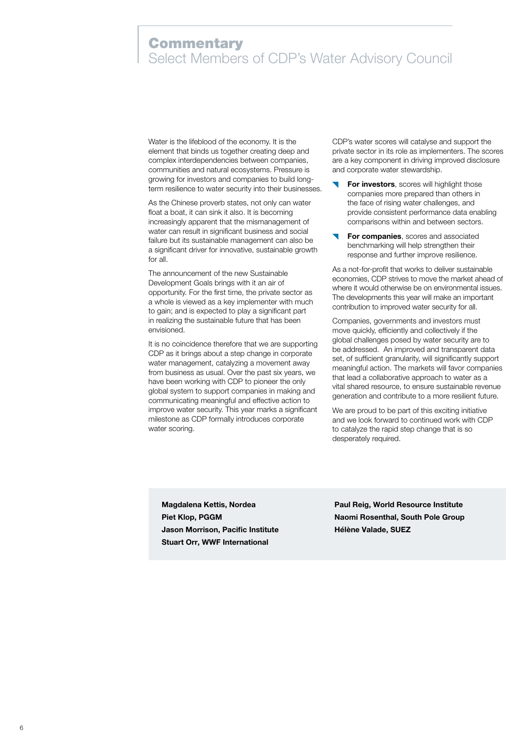# **Commentary** Select Members of CDP's Water Advisory Council

Water is the lifeblood of the economy. It is the element that binds us together creating deep and complex interdependencies between companies, communities and natural ecosystems. Pressure is growing for investors and companies to build longterm resilience to water security into their businesses.

As the Chinese proverb states, not only can water float a boat, it can sink it also. It is becoming increasingly apparent that the mismanagement of water can result in significant business and social failure but its sustainable management can also be a significant driver for innovative, sustainable growth for all.

The announcement of the new Sustainable Development Goals brings with it an air of opportunity. For the first time, the private sector as a whole is viewed as a key implementer with much to gain; and is expected to play a significant part in realizing the sustainable future that has been envisioned.

It is no coincidence therefore that we are supporting CDP as it brings about a step change in corporate water management, catalyzing a movement away from business as usual. Over the past six years, we have been working with CDP to pioneer the only global system to support companies in making and communicating meaningful and effective action to improve water security. This year marks a significant milestone as CDP formally introduces corporate water scoring.

CDP's water scores will catalyse and support the private sector in its role as implementers. The scores are a key component in driving improved disclosure and corporate water stewardship.

- For investors, scores will highlight those companies more prepared than others in the face of rising water challenges, and provide consistent performance data enabling comparisons within and between sectors.
- For companies, scores and associated benchmarking will help strengthen their response and further improve resilience.

As a not-for-profit that works to deliver sustainable economies, CDP strives to move the market ahead of where it would otherwise be on environmental issues. The developments this year will make an important contribution to improved water security for all.

Companies, governments and investors must move quickly, efficiently and collectively if the global challenges posed by water security are to be addressed. An improved and transparent data set, of sufficient granularity, will significantly support meaningful action. The markets will favor companies that lead a collaborative approach to water as a vital shared resource, to ensure sustainable revenue generation and contribute to a more resilient future.

We are proud to be part of this exciting initiative and we look forward to continued work with CDP to catalyze the rapid step change that is so desperately required.

Magdalena Kettis, Nordea Piet Klop, PGGM Jason Morrison, Pacific Institute Stuart Orr, WWF International

Paul Reig, World Resource Institute Naomi Rosenthal, South Pole Group Hélène Valade, SUEZ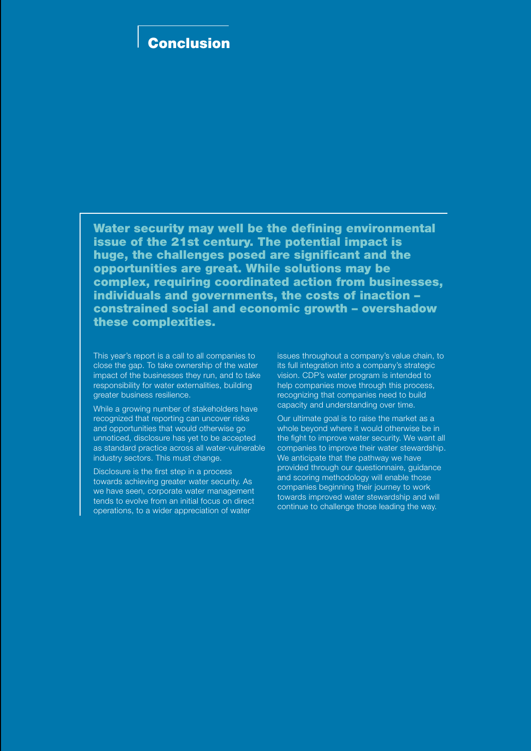# Conclusion

Water security may well be the defining environmental issue of the 21st century. The potential impact is huge, the challenges posed are significant and the opportunities are great. While solutions may be complex, requiring coordinated action from businesses, individuals and governments, the costs of inaction – constrained social and economic growth – overshadow these complexities.

This year's report is a call to all companies to close the gap. To take ownership of the water impact of the businesses they run, and to take responsibility for water externalities, building greater business resilience.

While a growing number of stakeholders have recognized that reporting can uncover risks and opportunities that would otherwise go unnoticed, disclosure has yet to be accepted as standard practice across all water-vulnerable industry sectors. This must change.

Disclosure is the first step in a process towards achieving greater water security. As we have seen, corporate water management tends to evolve from an initial focus on direct operations, to a wider appreciation of water

issues throughout a company's value chain, to its full integration into a company's strategic vision. CDP's water program is intended to help companies move through this process, recognizing that companies need to build capacity and understanding over time.

Our ultimate goal is to raise the market as a whole beyond where it would otherwise be in the fight to improve water security. We want all companies to improve their water stewardship. We anticipate that the pathway we have provided through our questionnaire, guidance and scoring methodology will enable those companies beginning their journey to work towards improved water stewardship and will continue to challenge those leading the way.